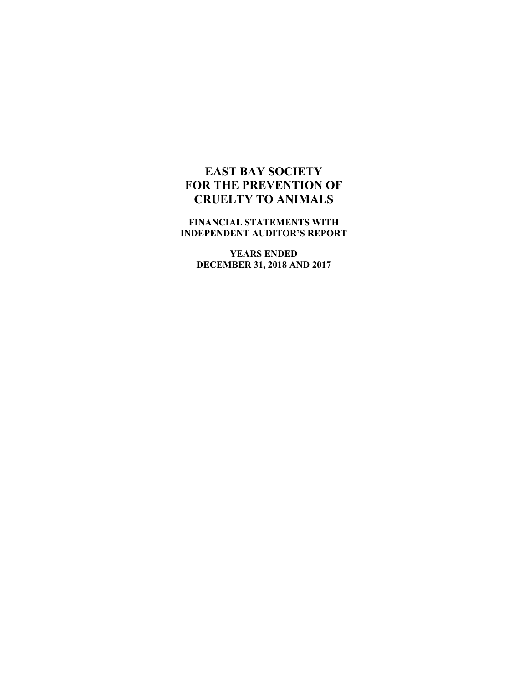**FINANCIAL STATEMENTS WITH INDEPENDENT AUDITOR'S REPORT** 

**YEARS ENDED DECEMBER 31, 2018 AND 2017**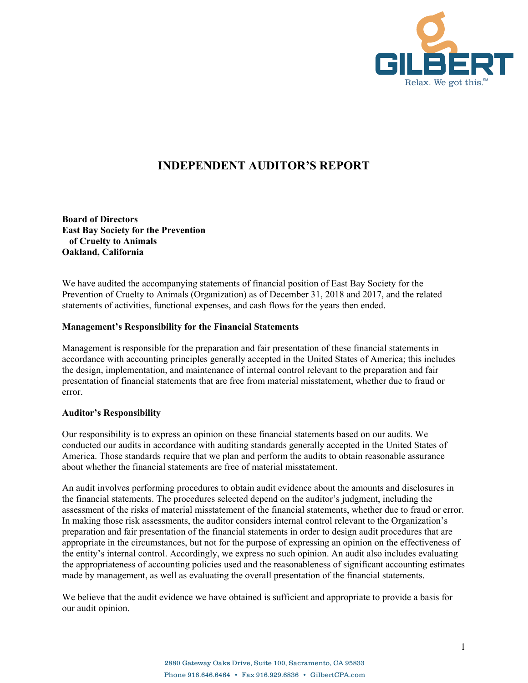

# **INDEPENDENT AUDITOR'S REPORT**

**Board of Directors East Bay Society for the Prevention of Cruelty to Animals Oakland, California** 

We have audited the accompanying statements of financial position of East Bay Society for the Prevention of Cruelty to Animals (Organization) as of December 31, 2018 and 2017, and the related statements of activities, functional expenses, and cash flows for the years then ended.

### **Management's Responsibility for the Financial Statements**

Management is responsible for the preparation and fair presentation of these financial statements in accordance with accounting principles generally accepted in the United States of America; this includes the design, implementation, and maintenance of internal control relevant to the preparation and fair presentation of financial statements that are free from material misstatement, whether due to fraud or error.

### **Auditor's Responsibility**

Our responsibility is to express an opinion on these financial statements based on our audits. We conducted our audits in accordance with auditing standards generally accepted in the United States of America. Those standards require that we plan and perform the audits to obtain reasonable assurance about whether the financial statements are free of material misstatement.

An audit involves performing procedures to obtain audit evidence about the amounts and disclosures in the financial statements. The procedures selected depend on the auditor's judgment, including the assessment of the risks of material misstatement of the financial statements, whether due to fraud or error. In making those risk assessments, the auditor considers internal control relevant to the Organization's preparation and fair presentation of the financial statements in order to design audit procedures that are appropriate in the circumstances, but not for the purpose of expressing an opinion on the effectiveness of the entity's internal control. Accordingly, we express no such opinion. An audit also includes evaluating the appropriateness of accounting policies used and the reasonableness of significant accounting estimates made by management, as well as evaluating the overall presentation of the financial statements.

We believe that the audit evidence we have obtained is sufficient and appropriate to provide a basis for our audit opinion.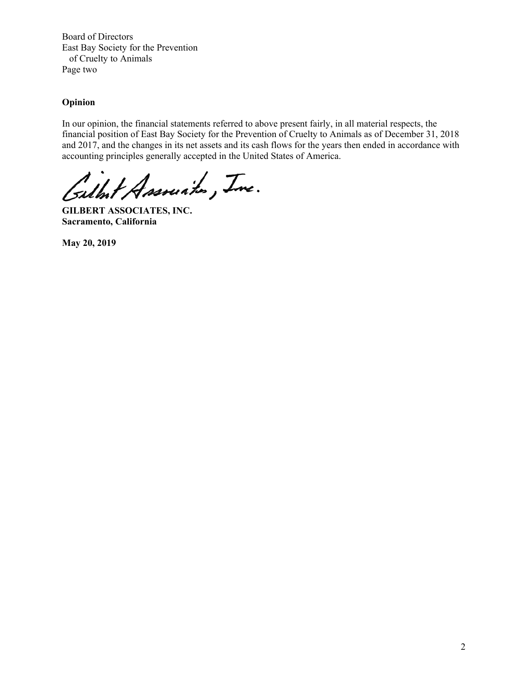Board of Directors East Bay Society for the Prevention of Cruelty to Animals Page two

## **Opinion**

In our opinion, the financial statements referred to above present fairly, in all material respects, the financial position of East Bay Society for the Prevention of Cruelty to Animals as of December 31, 2018 and 2017, and the changes in its net assets and its cash flows for the years then ended in accordance with accounting principles generally accepted in the United States of America.

Callet Association, Inc.

**GILBERT ASSOCIATES, INC. Sacramento, California** 

**May 20, 2019**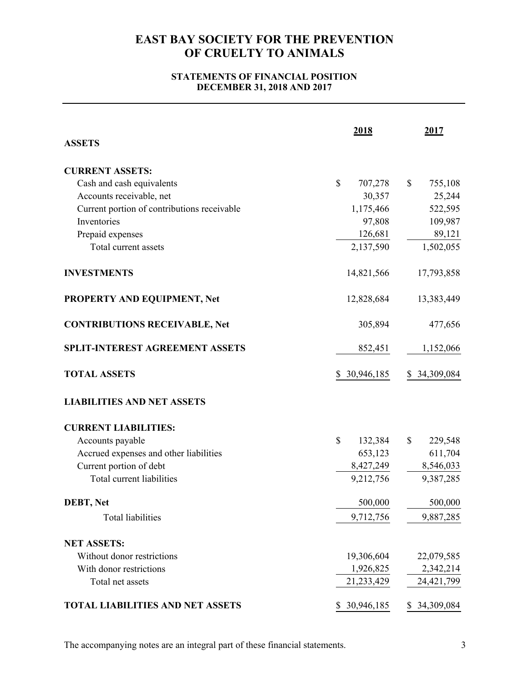## **STATEMENTS OF FINANCIAL POSITION DECEMBER 31, 2018 AND 2017**

|                                             | 2018          | <u>2017</u>   |
|---------------------------------------------|---------------|---------------|
| <b>ASSETS</b>                               |               |               |
| <b>CURRENT ASSETS:</b>                      |               |               |
| Cash and cash equivalents                   | \$<br>707,278 | \$<br>755,108 |
| Accounts receivable, net                    | 30,357        | 25,244        |
| Current portion of contributions receivable | 1,175,466     | 522,595       |
| Inventories                                 | 97,808        | 109,987       |
| Prepaid expenses                            | 126,681       | 89,121        |
| Total current assets                        | 2,137,590     | 1,502,055     |
| <b>INVESTMENTS</b>                          | 14,821,566    | 17,793,858    |
| PROPERTY AND EQUIPMENT, Net                 | 12,828,684    | 13,383,449    |
| <b>CONTRIBUTIONS RECEIVABLE, Net</b>        | 305,894       | 477,656       |
| <b>SPLIT-INTEREST AGREEMENT ASSETS</b>      | 852,451       | 1,152,066     |
| <b>TOTAL ASSETS</b>                         | \$30,946,185  | \$ 34,309,084 |
| <b>LIABILITIES AND NET ASSETS</b>           |               |               |
| <b>CURRENT LIABILITIES:</b>                 |               |               |
| Accounts payable                            | \$<br>132,384 | \$<br>229,548 |
| Accrued expenses and other liabilities      | 653,123       | 611,704       |
| Current portion of debt                     | 8,427,249     | 8,546,033     |
| Total current liabilities                   | 9,212,756     | 9,387,285     |
| <b>DEBT, Net</b>                            | 500,000       | 500,000       |
| <b>Total liabilities</b>                    | 9,712,756     | 9,887,285     |
| <b>NET ASSETS:</b>                          |               |               |
| Without donor restrictions                  | 19,306,604    | 22,079,585    |
| With donor restrictions                     | 1,926,825     | 2,342,214     |
| Total net assets                            | 21,233,429    | 24,421,799    |
| <b>TOTAL LIABILITIES AND NET ASSETS</b>     | \$30,946,185  | \$ 34,309,084 |

The accompanying notes are an integral part of these financial statements. 3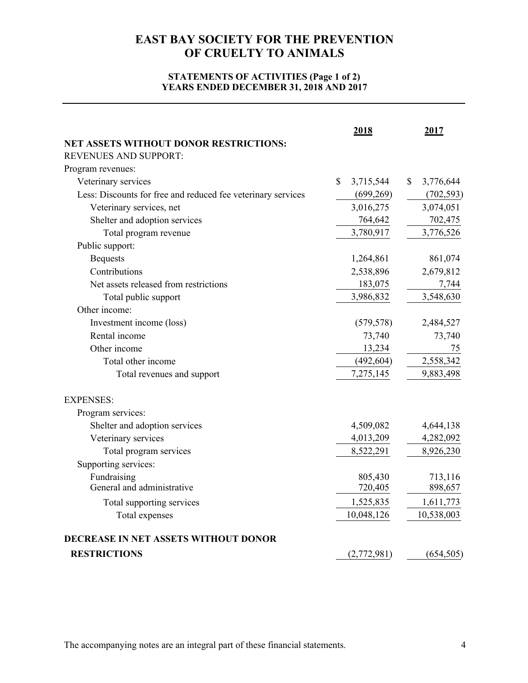#### **STATEMENTS OF ACTIVITIES (Page 1 of 2) YEARS ENDED DECEMBER 31, 2018 AND 2017**

|                                                              | 2018            | 2017            |
|--------------------------------------------------------------|-----------------|-----------------|
| <b>NET ASSETS WITHOUT DONOR RESTRICTIONS:</b>                |                 |                 |
| REVENUES AND SUPPORT:                                        |                 |                 |
| Program revenues:                                            |                 |                 |
| Veterinary services                                          | \$<br>3,715,544 | 3,776,644<br>\$ |
| Less: Discounts for free and reduced fee veterinary services | (699,269)       | (702, 593)      |
| Veterinary services, net                                     | 3,016,275       | 3,074,051       |
| Shelter and adoption services                                | 764,642         | 702,475         |
| Total program revenue                                        | 3,780,917       | 3,776,526       |
| Public support:                                              |                 |                 |
| <b>Bequests</b>                                              | 1,264,861       | 861,074         |
| Contributions                                                | 2,538,896       | 2,679,812       |
| Net assets released from restrictions                        | 183,075         | 7,744           |
| Total public support                                         | 3,986,832       | 3,548,630       |
| Other income:                                                |                 |                 |
| Investment income (loss)                                     | (579, 578)      | 2,484,527       |
| Rental income                                                | 73,740          | 73,740          |
| Other income                                                 | 13,234          | 75              |
| Total other income                                           | (492, 604)      | 2,558,342       |
| Total revenues and support                                   | 7,275,145       | 9,883,498       |
| <b>EXPENSES:</b>                                             |                 |                 |
| Program services:                                            |                 |                 |
| Shelter and adoption services                                | 4,509,082       | 4,644,138       |
| Veterinary services                                          | 4,013,209       | 4,282,092       |
| Total program services                                       | 8,522,291       | 8,926,230       |
| Supporting services:                                         |                 |                 |
| Fundraising                                                  | 805,430         | 713,116         |
| General and administrative                                   | 720,405         | 898,657         |
| Total supporting services                                    | 1,525,835       | 1,611,773       |
| Total expenses                                               | 10,048,126      | 10,538,003      |
| DECREASE IN NET ASSETS WITHOUT DONOR                         |                 |                 |
| <b>RESTRICTIONS</b>                                          | (2,772,981)     | (654, 505)      |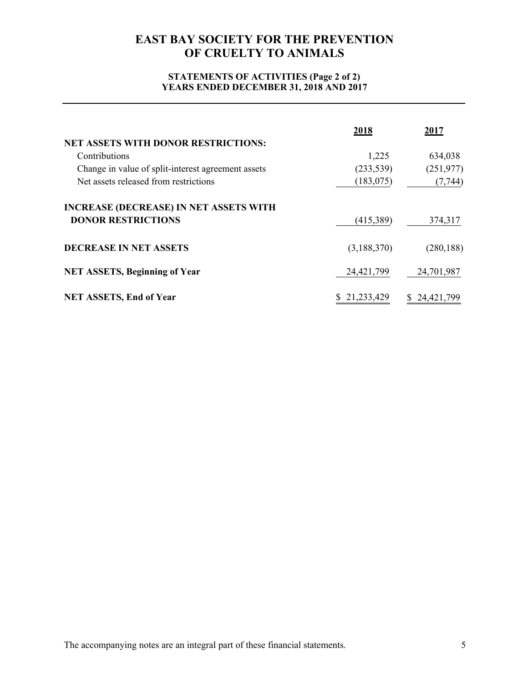#### **STATEMENTS OF ACTIVITIES (Page 2 of 2) YEARS ENDED DECEMBER 31, 2018 AND 2017**

|                                                    | 2018               | 2017         |
|----------------------------------------------------|--------------------|--------------|
| <b>NET ASSETS WITH DONOR RESTRICTIONS:</b>         |                    |              |
| Contributions                                      | 1,225              | 634,038      |
| Change in value of split-interest agreement assets | (233, 539)         | (251, 977)   |
| Net assets released from restrictions              | (183, 075)         | (7, 744)     |
| <b>INCREASE (DECREASE) IN NET ASSETS WITH</b>      |                    |              |
| <b>DONOR RESTRICTIONS</b>                          | (415,389)          | 374,317      |
| <b>DECREASE IN NET ASSETS</b>                      | (3,188,370)        | (280, 188)   |
| <b>NET ASSETS, Beginning of Year</b>               | 24,421,799         | 24,701,987   |
| <b>NET ASSETS, End of Year</b>                     | 21, 233, 429<br>S. | \$24,421,799 |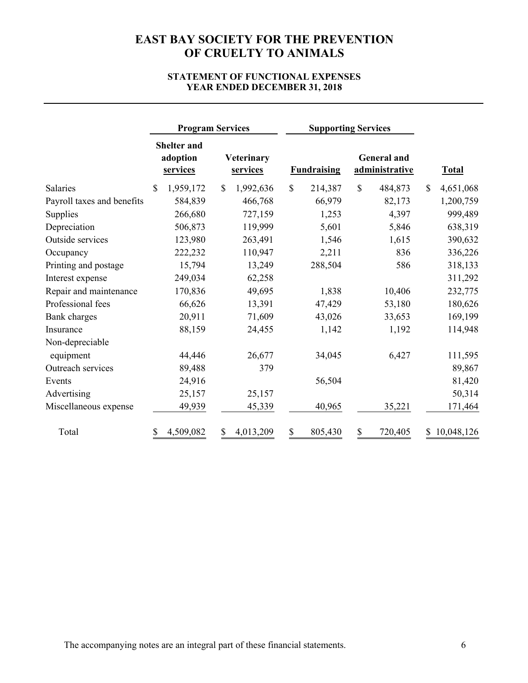## **STATEMENT OF FUNCTIONAL EXPENSES YEAR ENDED DECEMBER 31, 2018**

|                            |                                            | <b>Program Services</b>   |                          | <b>Supporting Services</b>           |                            |
|----------------------------|--------------------------------------------|---------------------------|--------------------------|--------------------------------------|----------------------------|
|                            | <b>Shelter and</b><br>adoption<br>services | Veterinary<br>services    | <b>Fundraising</b>       | <b>General</b> and<br>administrative | <b>Total</b>               |
| <b>Salaries</b>            | $\mathbf S$<br>1,959,172                   | $\mathbb{S}$<br>1,992,636 | $\mathcal{S}$<br>214,387 | $\mathbb{S}$<br>484,873              | $\mathcal{S}$<br>4,651,068 |
| Payroll taxes and benefits | 584,839                                    | 466,768                   | 66,979                   | 82,173                               | 1,200,759                  |
| Supplies                   | 266,680                                    | 727,159                   | 1,253                    | 4,397                                | 999,489                    |
| Depreciation               | 506,873                                    | 119,999                   | 5,601                    | 5,846                                | 638,319                    |
| Outside services           | 123,980                                    | 263,491                   | 1,546                    | 1,615                                | 390,632                    |
| Occupancy                  | 222,232                                    | 110,947                   | 2,211                    | 836                                  | 336,226                    |
| Printing and postage       | 15,794                                     | 13,249                    | 288,504                  | 586                                  | 318,133                    |
| Interest expense           | 249,034                                    | 62,258                    |                          |                                      | 311,292                    |
| Repair and maintenance     | 170,836                                    | 49,695                    | 1,838                    | 10,406                               | 232,775                    |
| Professional fees          | 66,626                                     | 13,391                    | 47,429                   | 53,180                               | 180,626                    |
| <b>Bank</b> charges        | 20,911                                     | 71,609                    | 43,026                   | 33,653                               | 169,199                    |
| Insurance                  | 88,159                                     | 24,455                    | 1,142                    | 1,192                                | 114,948                    |
| Non-depreciable            |                                            |                           |                          |                                      |                            |
| equipment                  | 44,446                                     | 26,677                    | 34,045                   | 6,427                                | 111,595                    |
| Outreach services          | 89,488                                     | 379                       |                          |                                      | 89,867                     |
| Events                     | 24,916                                     |                           | 56,504                   |                                      | 81,420                     |
| Advertising                | 25,157                                     | 25,157                    |                          |                                      | 50,314                     |
| Miscellaneous expense      | 49,939                                     | 45,339                    | 40,965                   | 35,221                               | 171,464                    |
| Total                      | 4,509,082<br>S                             | \$<br>4,013,209           | $\mathcal{S}$<br>805,430 | \$<br>720,405                        | 10,048,126<br>\$.          |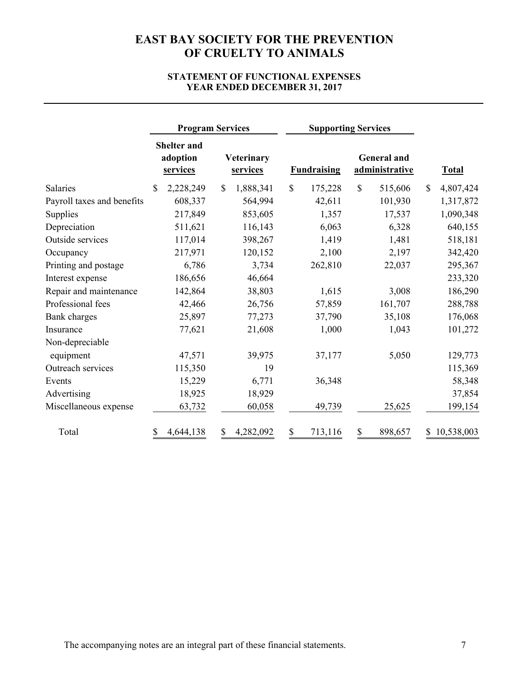## **STATEMENT OF FUNCTIONAL EXPENSES YEAR ENDED DECEMBER 31, 2017**

|                            |                                            | <b>Program Services</b>   |                          | <b>Supporting Services</b>           |                 |
|----------------------------|--------------------------------------------|---------------------------|--------------------------|--------------------------------------|-----------------|
|                            | <b>Shelter and</b><br>adoption<br>services | Veterinary<br>services    | <b>Fundraising</b>       | <b>General</b> and<br>administrative | <b>Total</b>    |
| Salaries                   | \$<br>2,228,249                            | $\mathbb{S}$<br>1,888,341 | $\mathcal{S}$<br>175,228 | $\mathbb{S}$<br>515,606              | \$<br>4,807,424 |
| Payroll taxes and benefits | 608,337                                    | 564,994                   | 42,611                   | 101,930                              | 1,317,872       |
| Supplies                   | 217,849                                    | 853,605                   | 1,357                    | 17,537                               | 1,090,348       |
| Depreciation               | 511,621                                    | 116,143                   | 6,063                    | 6,328                                | 640,155         |
| Outside services           | 117,014                                    | 398,267                   | 1,419                    | 1,481                                | 518,181         |
| Occupancy                  | 217,971                                    | 120,152                   | 2,100                    | 2,197                                | 342,420         |
| Printing and postage       | 6,786                                      | 3,734                     | 262,810                  | 22,037                               | 295,367         |
| Interest expense           | 186,656                                    | 46,664                    |                          |                                      | 233,320         |
| Repair and maintenance     | 142,864                                    | 38,803                    | 1,615                    | 3,008                                | 186,290         |
| Professional fees          | 42,466                                     | 26,756                    | 57,859                   | 161,707                              | 288,788         |
| <b>Bank</b> charges        | 25,897                                     | 77,273                    | 37,790                   | 35,108                               | 176,068         |
| Insurance                  | 77,621                                     | 21,608                    | 1,000                    | 1,043                                | 101,272         |
| Non-depreciable            |                                            |                           |                          |                                      |                 |
| equipment                  | 47,571                                     | 39,975                    | 37,177                   | 5,050                                | 129,773         |
| Outreach services          | 115,350                                    | 19                        |                          |                                      | 115,369         |
| Events                     | 15,229                                     | 6,771                     | 36,348                   |                                      | 58,348          |
| Advertising                | 18,925                                     | 18,929                    |                          |                                      | 37,854          |
| Miscellaneous expense      | 63,732                                     | 60,058                    | 49,739                   | 25,625                               | 199,154         |
| Total                      | 4,644,138<br>\$                            | \$<br>4,282,092           | \$<br>713,116            | \$<br>898,657                        | 10,538,003<br>S |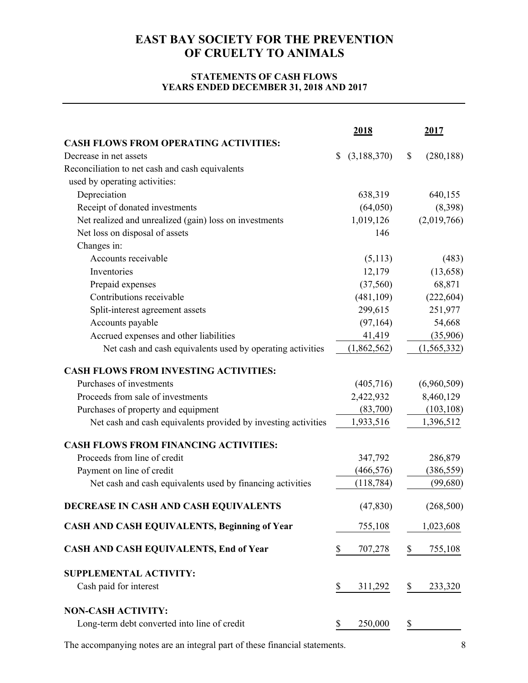## **STATEMENTS OF CASH FLOWS YEARS ENDED DECEMBER 31, 2018 AND 2017**

|                                                                |              | <u>2018</u> | 2017             |
|----------------------------------------------------------------|--------------|-------------|------------------|
| <b>CASH FLOWS FROM OPERATING ACTIVITIES:</b>                   |              |             |                  |
| Decrease in net assets                                         | \$           | (3,188,370) | \$<br>(280, 188) |
| Reconciliation to net cash and cash equivalents                |              |             |                  |
| used by operating activities:                                  |              |             |                  |
| Depreciation                                                   |              | 638,319     | 640,155          |
| Receipt of donated investments                                 |              | (64,050)    | (8,398)          |
| Net realized and unrealized (gain) loss on investments         |              | 1,019,126   | (2,019,766)      |
| Net loss on disposal of assets                                 |              | 146         |                  |
| Changes in:                                                    |              |             |                  |
| Accounts receivable                                            |              | (5,113)     | (483)            |
| Inventories                                                    |              | 12,179      | (13, 658)        |
| Prepaid expenses                                               |              | (37,560)    | 68,871           |
| Contributions receivable                                       |              | (481, 109)  | (222, 604)       |
| Split-interest agreement assets                                |              | 299,615     | 251,977          |
| Accounts payable                                               |              | (97, 164)   | 54,668           |
| Accrued expenses and other liabilities                         |              | 41,419      | (35,906)         |
| Net cash and cash equivalents used by operating activities     |              | (1,862,562) | (1, 565, 332)    |
| <b>CASH FLOWS FROM INVESTING ACTIVITIES:</b>                   |              |             |                  |
| Purchases of investments                                       |              | (405,716)   | (6,960,509)      |
| Proceeds from sale of investments                              |              | 2,422,932   | 8,460,129        |
| Purchases of property and equipment                            |              | (83,700)    | (103, 108)       |
| Net cash and cash equivalents provided by investing activities |              | 1,933,516   | 1,396,512        |
| <b>CASH FLOWS FROM FINANCING ACTIVITIES:</b>                   |              |             |                  |
| Proceeds from line of credit                                   |              | 347,792     | 286,879          |
| Payment on line of credit                                      |              | (466, 576)  | (386, 559)       |
| Net cash and cash equivalents used by financing activities     |              | (118, 784)  | (99,680)         |
| DECREASE IN CASH AND CASH EQUIVALENTS                          |              | (47, 830)   | (268, 500)       |
| <b>CASH AND CASH EQUIVALENTS, Beginning of Year</b>            |              | 755,108     | 1,023,608        |
| <b>CASH AND CASH EQUIVALENTS, End of Year</b>                  | \$           | 707,278     | \$<br>755,108    |
| <b>SUPPLEMENTAL ACTIVITY:</b>                                  |              |             |                  |
| Cash paid for interest                                         | \$           | 311,292     | \$<br>233,320    |
| <b>NON-CASH ACTIVITY:</b>                                      |              |             |                  |
| Long-term debt converted into line of credit                   | $\mathbb{S}$ | 250,000     | \$               |

The accompanying notes are an integral part of these financial statements. 8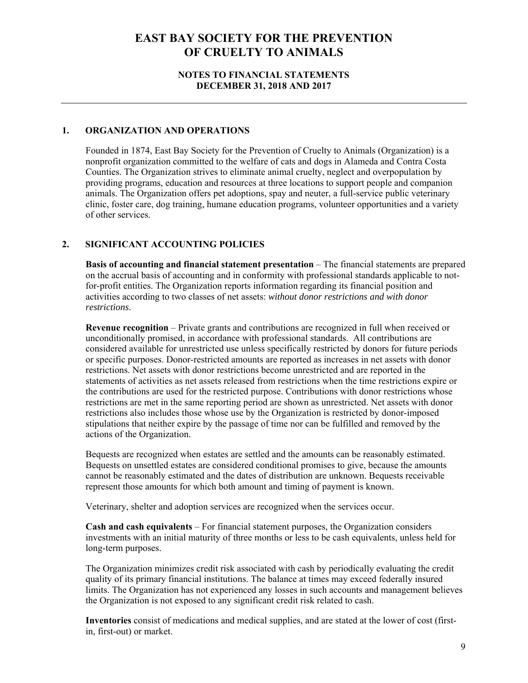### **NOTES TO FINANCIAL STATEMENTS DECEMBER 31, 2018 AND 2017**

### **1. ORGANIZATION AND OPERATIONS**

Founded in 1874, East Bay Society for the Prevention of Cruelty to Animals (Organization) is a nonprofit organization committed to the welfare of cats and dogs in Alameda and Contra Costa Counties. The Organization strives to eliminate animal cruelty, neglect and overpopulation by providing programs, education and resources at three locations to support people and companion animals. The Organization offers pet adoptions, spay and neuter, a full-service public veterinary clinic, foster care, dog training, humane education programs, volunteer opportunities and a variety of other services.

### **2. SIGNIFICANT ACCOUNTING POLICIES**

**Basis of accounting and financial statement presentation** – The financial statements are prepared on the accrual basis of accounting and in conformity with professional standards applicable to notfor-profit entities. The Organization reports information regarding its financial position and activities according to two classes of net assets: *without donor restrictions and with donor restrictions*.

**Revenue recognition** – Private grants and contributions are recognized in full when received or unconditionally promised, in accordance with professional standards. All contributions are considered available for unrestricted use unless specifically restricted by donors for future periods or specific purposes. Donor-restricted amounts are reported as increases in net assets with donor restrictions. Net assets with donor restrictions become unrestricted and are reported in the statements of activities as net assets released from restrictions when the time restrictions expire or the contributions are used for the restricted purpose. Contributions with donor restrictions whose restrictions are met in the same reporting period are shown as unrestricted. Net assets with donor restrictions also includes those whose use by the Organization is restricted by donor-imposed stipulations that neither expire by the passage of time nor can be fulfilled and removed by the actions of the Organization.

Bequests are recognized when estates are settled and the amounts can be reasonably estimated. Bequests on unsettled estates are considered conditional promises to give, because the amounts cannot be reasonably estimated and the dates of distribution are unknown. Bequests receivable represent those amounts for which both amount and timing of payment is known.

Veterinary, shelter and adoption services are recognized when the services occur.

**Cash and cash equivalents** – For financial statement purposes, the Organization considers investments with an initial maturity of three months or less to be cash equivalents, unless held for long-term purposes.

The Organization minimizes credit risk associated with cash by periodically evaluating the credit quality of its primary financial institutions. The balance at times may exceed federally insured limits. The Organization has not experienced any losses in such accounts and management believes the Organization is not exposed to any significant credit risk related to cash.

**Inventories** consist of medications and medical supplies, and are stated at the lower of cost (firstin, first-out) or market.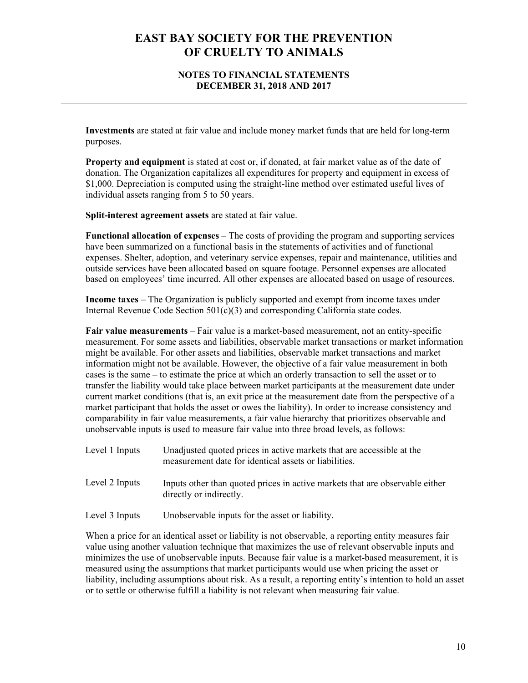### **NOTES TO FINANCIAL STATEMENTS DECEMBER 31, 2018 AND 2017**

**Investments** are stated at fair value and include money market funds that are held for long-term purposes.

**Property and equipment** is stated at cost or, if donated, at fair market value as of the date of donation. The Organization capitalizes all expenditures for property and equipment in excess of \$1,000. Depreciation is computed using the straight-line method over estimated useful lives of individual assets ranging from 5 to 50 years.

**Split-interest agreement assets** are stated at fair value.

**Functional allocation of expenses** – The costs of providing the program and supporting services have been summarized on a functional basis in the statements of activities and of functional expenses. Shelter, adoption, and veterinary service expenses, repair and maintenance, utilities and outside services have been allocated based on square footage. Personnel expenses are allocated based on employees' time incurred. All other expenses are allocated based on usage of resources.

**Income taxes** – The Organization is publicly supported and exempt from income taxes under Internal Revenue Code Section  $501(c)(3)$  and corresponding California state codes.

**Fair value measurements** – Fair value is a market-based measurement, not an entity-specific measurement. For some assets and liabilities, observable market transactions or market information might be available. For other assets and liabilities, observable market transactions and market information might not be available. However, the objective of a fair value measurement in both cases is the same – to estimate the price at which an orderly transaction to sell the asset or to transfer the liability would take place between market participants at the measurement date under current market conditions (that is, an exit price at the measurement date from the perspective of a market participant that holds the asset or owes the liability). In order to increase consistency and comparability in fair value measurements, a fair value hierarchy that prioritizes observable and unobservable inputs is used to measure fair value into three broad levels, as follows:

| Level 1 Inputs | Unadjusted quoted prices in active markets that are accessible at the<br>measurement date for identical assets or liabilities. |
|----------------|--------------------------------------------------------------------------------------------------------------------------------|
| Level 2 Inputs | Inputs other than quoted prices in active markets that are observable either<br>directly or indirectly.                        |

Level 3 Inputs Unobservable inputs for the asset or liability.

When a price for an identical asset or liability is not observable, a reporting entity measures fair value using another valuation technique that maximizes the use of relevant observable inputs and minimizes the use of unobservable inputs. Because fair value is a market-based measurement, it is measured using the assumptions that market participants would use when pricing the asset or liability, including assumptions about risk. As a result, a reporting entity's intention to hold an asset or to settle or otherwise fulfill a liability is not relevant when measuring fair value.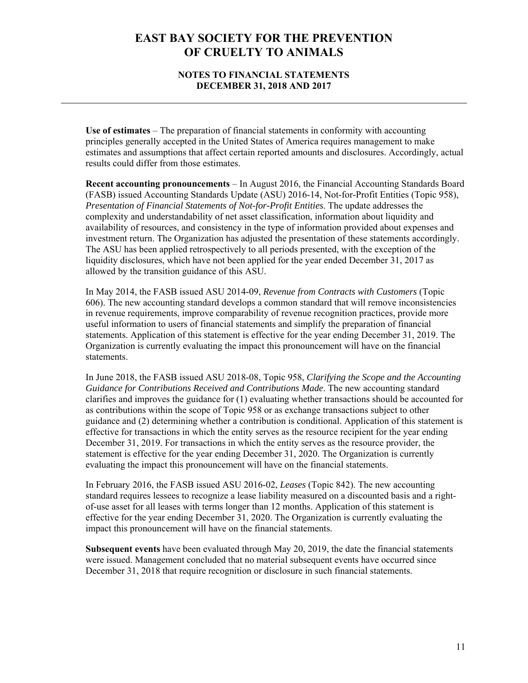### **NOTES TO FINANCIAL STATEMENTS DECEMBER 31, 2018 AND 2017**

**Use of estimates** – The preparation of financial statements in conformity with accounting principles generally accepted in the United States of America requires management to make estimates and assumptions that affect certain reported amounts and disclosures. Accordingly, actual results could differ from those estimates.

**Recent accounting pronouncements** – In August 2016, the Financial Accounting Standards Board (FASB) issued Accounting Standards Update (ASU) 2016-14, Not-for-Profit Entities (Topic 958), *Presentation of Financial Statements of Not-for-Profit Entities*. The update addresses the complexity and understandability of net asset classification, information about liquidity and availability of resources, and consistency in the type of information provided about expenses and investment return. The Organization has adjusted the presentation of these statements accordingly. The ASU has been applied retrospectively to all periods presented, with the exception of the liquidity disclosures, which have not been applied for the year ended December 31, 2017 as allowed by the transition guidance of this ASU.

In May 2014, the FASB issued ASU 2014-09, *Revenue from Contracts with Customers* (Topic 606). The new accounting standard develops a common standard that will remove inconsistencies in revenue requirements, improve comparability of revenue recognition practices, provide more useful information to users of financial statements and simplify the preparation of financial statements. Application of this statement is effective for the year ending December 31, 2019. The Organization is currently evaluating the impact this pronouncement will have on the financial statements.

In June 2018, the FASB issued ASU 2018-08, Topic 958, *Clarifying the Scope and the Accounting Guidance for Contributions Received and Contributions Made*. The new accounting standard clarifies and improves the guidance for (1) evaluating whether transactions should be accounted for as contributions within the scope of Topic 958 or as exchange transactions subject to other guidance and (2) determining whether a contribution is conditional. Application of this statement is effective for transactions in which the entity serves as the resource recipient for the year ending December 31, 2019. For transactions in which the entity serves as the resource provider, the statement is effective for the year ending December 31, 2020. The Organization is currently evaluating the impact this pronouncement will have on the financial statements.

In February 2016, the FASB issued ASU 2016-02, *Leases* (Topic 842). The new accounting standard requires lessees to recognize a lease liability measured on a discounted basis and a rightof-use asset for all leases with terms longer than 12 months. Application of this statement is effective for the year ending December 31, 2020. The Organization is currently evaluating the impact this pronouncement will have on the financial statements.

**Subsequent events** have been evaluated through May 20, 2019, the date the financial statements were issued. Management concluded that no material subsequent events have occurred since December 31, 2018 that require recognition or disclosure in such financial statements.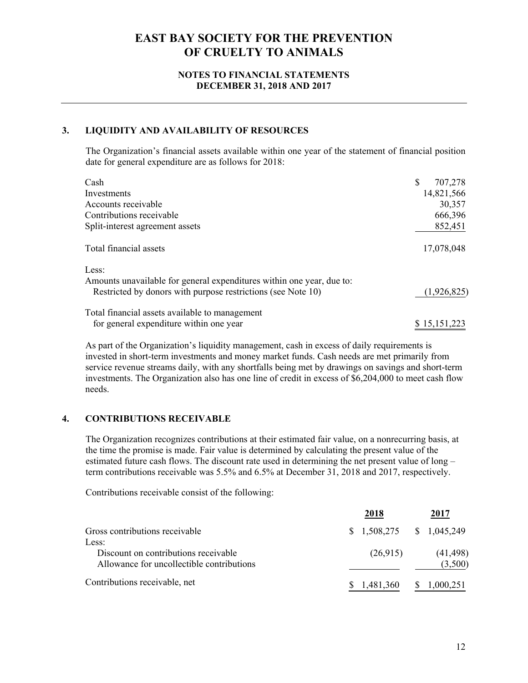### **NOTES TO FINANCIAL STATEMENTS DECEMBER 31, 2018 AND 2017**

### **3. LIQUIDITY AND AVAILABILITY OF RESOURCES**

The Organization's financial assets available within one year of the statement of financial position date for general expenditure are as follows for 2018:

| Cash                                                                  | S<br>707,278 |
|-----------------------------------------------------------------------|--------------|
| Investments                                                           | 14,821,566   |
| Accounts receivable                                                   | 30,357       |
| Contributions receivable                                              | 666,396      |
| Split-interest agreement assets                                       | 852,451      |
| Total financial assets                                                | 17,078,048   |
| Less:                                                                 |              |
| Amounts unavailable for general expenditures within one year, due to: |              |
| Restricted by donors with purpose restrictions (see Note 10)          | (1,926,825)  |
| Total financial assets available to management                        |              |
| for general expenditure within one year                               | \$15,151,223 |

As part of the Organization's liquidity management, cash in excess of daily requirements is invested in short-term investments and money market funds. Cash needs are met primarily from service revenue streams daily, with any shortfalls being met by drawings on savings and short-term investments. The Organization also has one line of credit in excess of \$6,204,000 to meet cash flow needs.

## **4. CONTRIBUTIONS RECEIVABLE**

The Organization recognizes contributions at their estimated fair value, on a nonrecurring basis, at the time the promise is made. Fair value is determined by calculating the present value of the estimated future cash flows. The discount rate used in determining the net present value of long – term contributions receivable was 5.5% and 6.5% at December 31, 2018 and 2017, respectively.

Contributions receivable consist of the following:

|                                                                                            | 2018                      | 2017                 |
|--------------------------------------------------------------------------------------------|---------------------------|----------------------|
| Gross contributions receivable                                                             | $$1,508,275$ $$1,045,249$ |                      |
| Less:<br>Discount on contributions receivable<br>Allowance for uncollectible contributions | (26,915)                  | (41, 498)<br>(3,500) |
| Contributions receivable, net                                                              | 1,481,360                 | \$1,000,251          |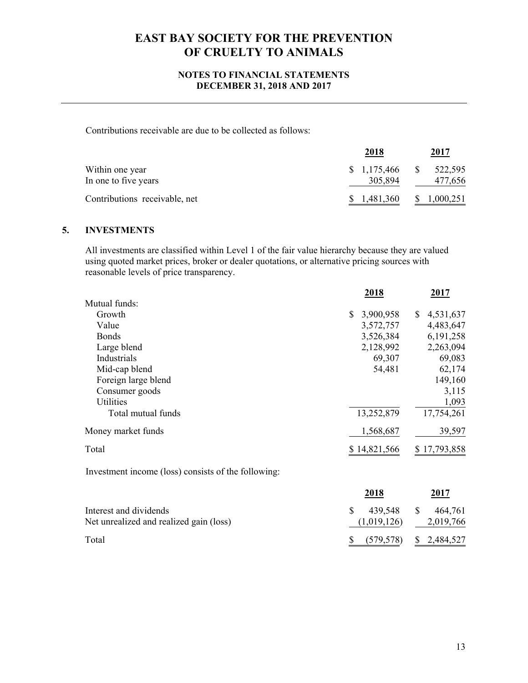### **NOTES TO FINANCIAL STATEMENTS DECEMBER 31, 2018 AND 2017**

Contributions receivable are due to be collected as follows:

|                                         | 2018      | 2017               |
|-----------------------------------------|-----------|--------------------|
| Within one year<br>In one to five years | 305,894   | 522,595<br>477,656 |
| Contributions receivable, net           | 1,481,360 | 1,000,251          |

#### **5. INVESTMENTS**

All investments are classified within Level 1 of the fair value hierarchy because they are valued using quoted market prices, broker or dealer quotations, or alternative pricing sources with reasonable levels of price transparency.

|                                                     | 2018                    | 2017                        |
|-----------------------------------------------------|-------------------------|-----------------------------|
| Mutual funds:                                       |                         |                             |
| Growth                                              | \$<br>3,900,958         | 4,531,637<br>$\mathbb{S}^-$ |
| Value                                               | 3,572,757               | 4,483,647                   |
| <b>Bonds</b>                                        | 3,526,384               | 6, 191, 258                 |
| Large blend                                         | 2,128,992               | 2,263,094                   |
| Industrials                                         | 69,307                  | 69,083                      |
| Mid-cap blend                                       | 54,481                  | 62,174                      |
| Foreign large blend                                 |                         | 149,160                     |
| Consumer goods                                      |                         | 3,115                       |
| <b>Utilities</b>                                    |                         | 1,093                       |
| Total mutual funds                                  | 13,252,879              | 17,754,261                  |
| Money market funds                                  | 1,568,687               | 39,597                      |
| Total                                               | \$14,821,566            | \$17,793,858                |
| Investment income (loss) consists of the following: |                         |                             |
|                                                     | 2018                    | 2017                        |
| Interest and dividends                              | $\mathbb{S}$<br>439,548 | \$<br>464,761               |
| Net unrealized and realized gain (loss)             | (1,019,126)             | 2,019,766                   |
| Total                                               | (579, 578)<br>\$        | 2,484,527<br>\$             |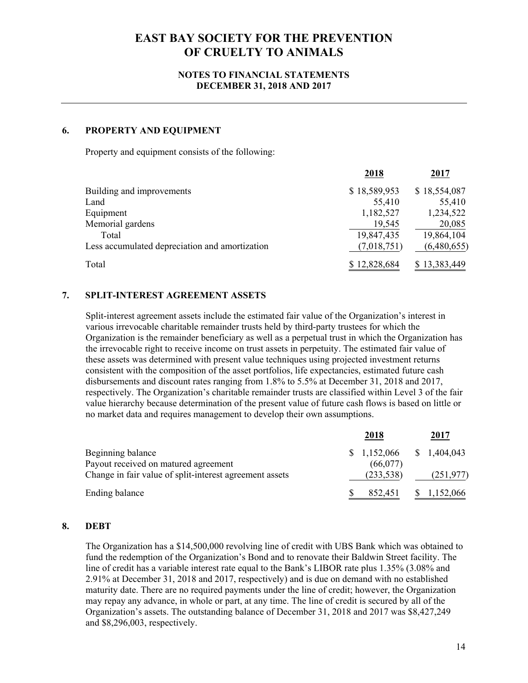#### **NOTES TO FINANCIAL STATEMENTS DECEMBER 31, 2018 AND 2017**

### **6. PROPERTY AND EQUIPMENT**

Property and equipment consists of the following:

|                                                | 2018         | 2017         |
|------------------------------------------------|--------------|--------------|
| Building and improvements                      | \$18,589,953 | \$18,554,087 |
| Land                                           | 55,410       | 55,410       |
| Equipment                                      | 1,182,527    | 1,234,522    |
| Memorial gardens                               | 19,545       | 20,085       |
| Total                                          | 19,847,435   | 19,864,104   |
| Less accumulated depreciation and amortization | (7,018,751)  | (6,480,655)  |
| Total                                          | \$12,828,684 | \$13,383,449 |

### **7. SPLIT-INTEREST AGREEMENT ASSETS**

Split-interest agreement assets include the estimated fair value of the Organization's interest in various irrevocable charitable remainder trusts held by third-party trustees for which the Organization is the remainder beneficiary as well as a perpetual trust in which the Organization has the irrevocable right to receive income on trust assets in perpetuity. The estimated fair value of these assets was determined with present value techniques using projected investment returns consistent with the composition of the asset portfolios, life expectancies, estimated future cash disbursements and discount rates ranging from 1.8% to 5.5% at December 31, 2018 and 2017, respectively. The Organization's charitable remainder trusts are classified within Level 3 of the fair value hierarchy because determination of the present value of future cash flows is based on little or no market data and requires management to develop their own assumptions.

|                                                           | 2018                      | 2017        |
|-----------------------------------------------------------|---------------------------|-------------|
| Beginning balance<br>Payout received on matured agreement | $$1,152,066$ $$1,404,043$ |             |
| Change in fair value of split-interest agreement assets   | (66,077)<br>(233, 538)    | (251, 977)  |
| Ending balance                                            | 852,451                   | \$1,152,066 |

#### **8. DEBT**

The Organization has a \$14,500,000 revolving line of credit with UBS Bank which was obtained to fund the redemption of the Organization's Bond and to renovate their Baldwin Street facility. The line of credit has a variable interest rate equal to the Bank's LIBOR rate plus 1.35% (3.08% and 2.91% at December 31, 2018 and 2017, respectively) and is due on demand with no established maturity date. There are no required payments under the line of credit; however, the Organization may repay any advance, in whole or part, at any time. The line of credit is secured by all of the Organization's assets. The outstanding balance of December 31, 2018 and 2017 was \$8,427,249 and \$8,296,003, respectively.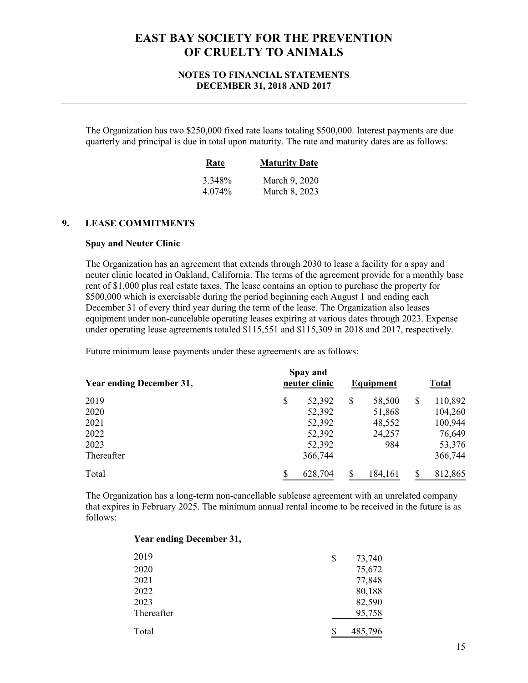### **NOTES TO FINANCIAL STATEMENTS DECEMBER 31, 2018 AND 2017**

The Organization has two \$250,000 fixed rate loans totaling \$500,000. Interest payments are due quarterly and principal is due in total upon maturity. The rate and maturity dates are as follows:

| Rate   | <b>Maturity Date</b> |
|--------|----------------------|
| 3.348% | March 9, 2020        |
| 4.074% | March 8, 2023        |

#### **9. LEASE COMMITMENTS**

#### **Spay and Neuter Clinic**

The Organization has an agreement that extends through 2030 to lease a facility for a spay and neuter clinic located in Oakland, California. The terms of the agreement provide for a monthly base rent of \$1,000 plus real estate taxes. The lease contains an option to purchase the property for \$500,000 which is exercisable during the period beginning each August 1 and ending each December 31 of every third year during the term of the lease. The Organization also leases equipment under non-cancelable operating leases expiring at various dates through 2023. Expense under operating lease agreements totaled \$115,551 and \$115,309 in 2018 and 2017, respectively.

Future minimum lease payments under these agreements are as follows:

| <b>Year ending December 31,</b> | Spay and<br>neuter clinic | Equipment |         | <b>Total</b> |         |
|---------------------------------|---------------------------|-----------|---------|--------------|---------|
| 2019                            | \$<br>52,392              | \$        | 58,500  | S            | 110,892 |
| 2020                            | 52,392                    |           | 51,868  |              | 104,260 |
| 2021                            | 52,392                    |           | 48,552  |              | 100,944 |
| 2022                            | 52,392                    |           | 24,257  |              | 76,649  |
| 2023                            | 52,392                    |           | 984     |              | 53,376  |
| Thereafter                      | 366,744                   |           |         |              | 366,744 |
| Total                           | S<br>628,704              | \$        | 184,161 |              | 812,865 |

The Organization has a long-term non-cancellable sublease agreement with an unrelated company that expires in February 2025. The minimum annual rental income to be received in the future is as follows:

#### **Year ending December 31,**

| 2019       | \$<br>73,740  |
|------------|---------------|
| 2020       | 75,672        |
| 2021       | 77,848        |
| 2022       | 80,188        |
| 2023       | 82,590        |
| Thereafter | 95,758        |
| Total      | \$<br>485,796 |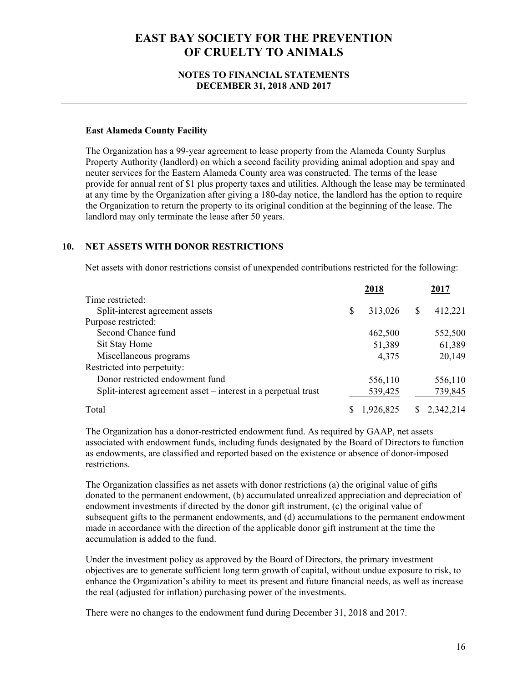### **NOTES TO FINANCIAL STATEMENTS DECEMBER 31, 2018 AND 2017**

#### **East Alameda County Facility**

The Organization has a 99-year agreement to lease property from the Alameda County Surplus Property Authority (landlord) on which a second facility providing animal adoption and spay and neuter services for the Eastern Alameda County area was constructed. The terms of the lease provide for annual rent of \$1 plus property taxes and utilities. Although the lease may be terminated at any time by the Organization after giving a 180-day notice, the landlord has the option to require the Organization to return the property to its original condition at the beginning of the lease. The landlord may only terminate the lease after 50 years.

### **10. NET ASSETS WITH DONOR RESTRICTIONS**

Net assets with donor restrictions consist of unexpended contributions restricted for the following:

|                                                                | 2018          |    | 2017      |
|----------------------------------------------------------------|---------------|----|-----------|
| Time restricted:                                               |               |    |           |
| Split-interest agreement assets                                | \$<br>313,026 | S  | 412,221   |
| Purpose restricted:                                            |               |    |           |
| Second Chance fund                                             | 462,500       |    | 552,500   |
| Sit Stay Home                                                  | 51,389        |    | 61,389    |
| Miscellaneous programs                                         | 4,375         |    | 20,149    |
| Restricted into perpetuity:                                    |               |    |           |
| Donor restricted endowment fund                                | 556,110       |    | 556,110   |
| Split-interest agreement asset – interest in a perpetual trust | 539,425       |    | 739,845   |
| Total                                                          | 1,926,825     | S. | 2,342,214 |

The Organization has a donor-restricted endowment fund. As required by GAAP, net assets associated with endowment funds, including funds designated by the Board of Directors to function as endowments, are classified and reported based on the existence or absence of donor-imposed restrictions.

The Organization classifies as net assets with donor restrictions (a) the original value of gifts donated to the permanent endowment, (b) accumulated unrealized appreciation and depreciation of endowment investments if directed by the donor gift instrument, (c) the original value of subsequent gifts to the permanent endowments, and (d) accumulations to the permanent endowment made in accordance with the direction of the applicable donor gift instrument at the time the accumulation is added to the fund.

Under the investment policy as approved by the Board of Directors, the primary investment objectives are to generate sufficient long term growth of capital, without undue exposure to risk, to enhance the Organization's ability to meet its present and future financial needs, as well as increase the real (adjusted for inflation) purchasing power of the investments.

There were no changes to the endowment fund during December 31, 2018 and 2017.